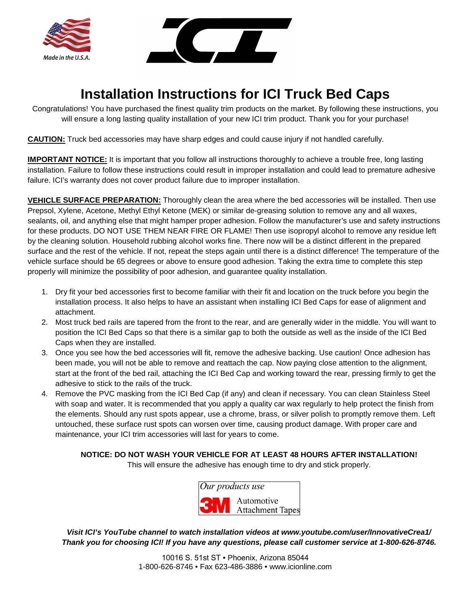



# **Installation Instructions for ICI Truck Bed Caps**

Congratulations! You have purchased the finest quality trim products on the market. By following these instructions, you will ensure a long lasting quality installation of your new ICI trim product. Thank you for your purchase!

**CAUTION:** Truck bed accessories may have sharp edges and could cause injury if not handled carefully.

**IMPORTANT NOTICE:** It is important that you follow all instructions thoroughly to achieve a trouble free, long lasting installation. Failure to follow these instructions could result in improper installation and could lead to premature adhesive failure. ICI's warranty does not cover product failure due to improper installation.

**VEHICLE SURFACE PREPARATION:** Thoroughly clean the area where the bed accessories will be installed. Then use Prepsol, Xylene, Acetone, Methyl Ethyl Ketone (MEK) or similar de-greasing solution to remove any and all waxes, sealants, oil, and anything else that might hamper proper adhesion. Follow the manufacturer's use and safety instructions for these products. DO NOT USE THEM NEAR FIRE OR FLAME! Then use isopropyl alcohol to remove any residue left by the cleaning solution. Household rubbing alcohol works fine. There now will be a distinct different in the prepared surface and the rest of the vehicle. If not, repeat the steps again until there is a distinct difference! The temperature of the vehicle surface should be 65 degrees or above to ensure good adhesion. Taking the extra time to complete this step properly will minimize the possibility of poor adhesion, and guarantee quality installation.

- 1. Dry fit your bed accessories first to become familiar with their fit and location on the truck before you begin the installation process. It also helps to have an assistant when installing ICI Bed Caps for ease of alignment and attachment.
- 2. Most truck bed rails are tapered from the front to the rear, and are generally wider in the middle. You will want to position the ICI Bed Caps so that there is a similar gap to both the outside as well as the inside of the ICI Bed Caps when they are installed.
- 3. Once you see how the bed accessories will fit, remove the adhesive backing. Use caution! Once adhesion has been made, you will not be able to remove and reattach the cap. Now paying close attention to the alignment, start at the front of the bed rail, attaching the ICI Bed Cap and working toward the rear, pressing firmly to get the adhesive to stick to the rails of the truck.
- 4. Remove the PVC masking from the ICI Bed Cap (if any) and clean if necessary. You can clean Stainless Steel with soap and water. It is recommended that you apply a quality car wax regularly to help protect the finish from the elements. Should any rust spots appear, use a chrome, brass, or silver polish to promptly remove them. Left untouched, these surface rust spots can worsen over time, causing product damage. With proper care and maintenance, your ICI trim accessories will last for years to come.

#### **NOTICE: DO NOT WASH YOUR VEHICLE FOR AT LEAST 48 HOURS AFTER INSTALLATION!**

This will ensure the adhesive has enough time to dry and stick properly.



*Visit ICI's YouTube channel to watch installation videos at www.youtube.com/user/InnovativeCrea1/ Thank you for choosing ICI! If you have any questions, please call customer service at 1-800-626-8746.*

> 10016 S. 51st ST • Phoenix, Arizona 85044 1-800-626-8746 • Fax 623-486-3886 • www.icionline.com